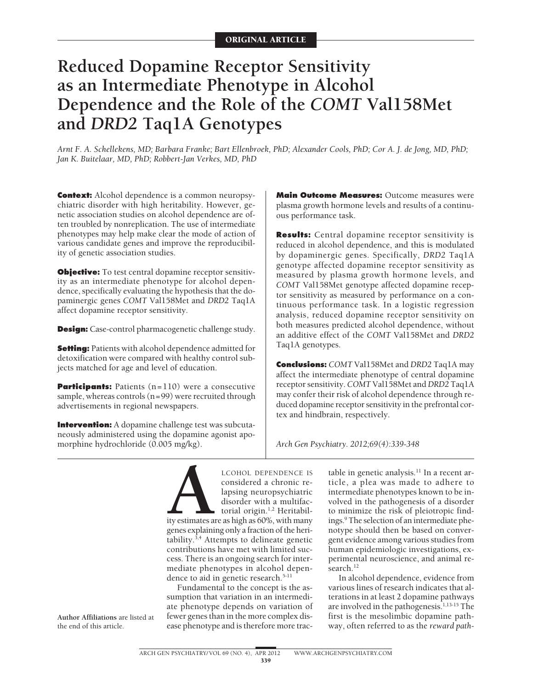# **Reduced Dopamine Receptor Sensitivity as an Intermediate Phenotype in Alcohol Dependence and the Role of the** *COMT* **Val158Met and** *DRD2* **Taq1A Genotypes**

*Arnt F. A. Schellekens, MD; Barbara Franke; Bart Ellenbroek, PhD; Alexander Cools, PhD; Cor A. J. de Jong, MD, PhD; Jan K. Buitelaar, MD, PhD; Robbert-Jan Verkes, MD, PhD*

**Context:** Alcohol dependence is a common neuropsychiatric disorder with high heritability. However, genetic association studies on alcohol dependence are often troubled by nonreplication. The use of intermediate phenotypes may help make clear the mode of action of various candidate genes and improve the reproducibility of genetic association studies.

**Objective:** To test central dopamine receptor sensitivity as an intermediate phenotype for alcohol dependence, specifically evaluating the hypothesis that the dopaminergic genes *COMT* Val158Met and *DRD2* Taq1A affect dopamine receptor sensitivity.

**Design:** Case-control pharmacogenetic challenge study.

**Setting:** Patients with alcohol dependence admitted for detoxification were compared with healthy control subjects matched for age and level of education.

**Participants:** Patients (n=110) were a consecutive sample, whereas controls  $(n=99)$  were recruited through advertisements in regional newspapers.

**Intervention:** A dopamine challenge test was subcutaneously administered using the dopamine agonist apomorphine hydrochloride (0.005 mg/kg).

**Main Outcome Measures:** Outcome measures were plasma growth hormone levels and results of a continuous performance task.

**Results:** Central dopamine receptor sensitivity is reduced in alcohol dependence, and this is modulated by dopaminergic genes. Specifically, *DRD2* Taq1A genotype affected dopamine receptor sensitivity as measured by plasma growth hormone levels, and *COMT* Val158Met genotype affected dopamine receptor sensitivity as measured by performance on a continuous performance task. In a logistic regression analysis, reduced dopamine receptor sensitivity on both measures predicted alcohol dependence, without an additive effect of the *COMT* Val158Met and *DRD2* Taq1A genotypes.

**Conclusions:** *COMT* Val158Met and *DRD2* Taq1A may affect the intermediate phenotype of central dopamine receptor sensitivity. *COMT* Val158Met and *DRD2* Taq1A may confer their risk of alcohol dependence through reduced dopamine receptor sensitivity in the prefrontal cortex and hindbrain, respectively.

*Arch Gen Psychiatry. 2012;69(4):339-348*

LCOHOL DEPENDENCE IS<br>
considered a chronic re-<br>
lapsing neuropsychiatric<br>
disorder with a multifac-<br>
torial origin.<sup>1,2</sup> Heritabil-<br>
ty estimates are as high as 60%, with many<br>
genes explaining only a fraction of the hericonsidered a chronic relapsing neuropsychiatric disorder with a multifactorial origin.<sup>1,2</sup> Heritability estimates are as high as 60%, with many genes explaining only a fraction of the heritability. $3,4$  Attempts to delineate genetic contributions have met with limited success. There is an ongoing search for intermediate phenotypes in alcohol dependence to aid in genetic research.<sup>5-11</sup>

Fundamental to the concept is the assumption that variation in an intermediate phenotype depends on variation of fewer genes than in the more complex disease phenotype and is therefore more trac-

table in genetic analysis. $11$  In a recent article, a plea was made to adhere to intermediate phenotypes known to be involved in the pathogenesis of a disorder to minimize the risk of pleiotropic findings.<sup>9</sup> The selection of an intermediate phenotype should then be based on convergent evidence among various studies from human epidemiologic investigations, experimental neuroscience, and animal research.<sup>12</sup>

In alcohol dependence, evidence from various lines of research indicates that alterations in at least 2 dopamine pathways are involved in the pathogenesis.<sup>1,13-15</sup> The first is the mesolimbic dopamine pathway, often referred to as the *reward path-*

**Author Affiliations** are listed at the end of this article.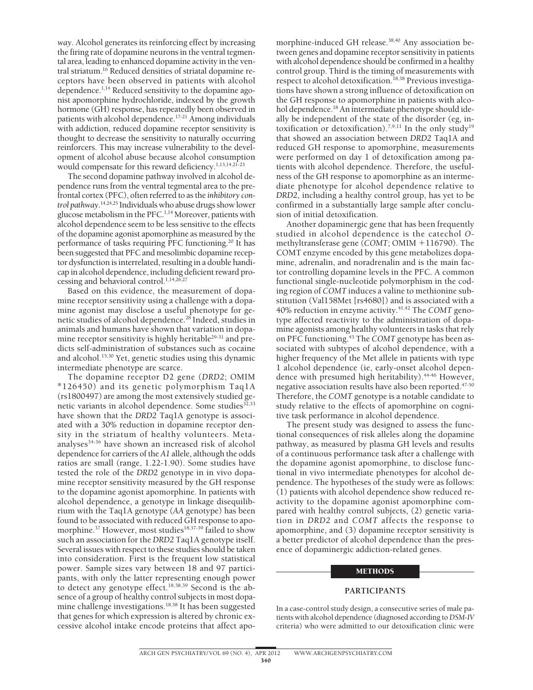*way*. Alcohol generates its reinforcing effect by increasing the firing rate of dopamine neurons in the ventral tegmental area, leading to enhanced dopamine activity in the ventral striatum.16 Reduced densities of striatal dopamine receptors have been observed in patients with alcohol dependence.<sup>1,14</sup> Reduced sensitivity to the dopamine agonist apomorphine hydrochloride, indexed by the growth hormone (GH) response, has repeatedly been observed in patients with alcohol dependence.17-21 Among individuals with addiction, reduced dopamine receptor sensitivity is thought to decrease the sensitivity to naturally occurring reinforcers. This may increase vulnerability to the development of alcohol abuse because alcohol consumption would compensate for this reward deficiency.<sup>1,13,14,21-23</sup>

The second dopamine pathway involved in alcohol dependence runs from the ventral tegmental area to the prefrontal cortex (PFC), often referred to as the *inhibitory control pathway*. 14,24,25 Individuals who abuse drugs show lower glucose metabolism in the PFC.<sup>1,14</sup> Moreover, patients with alcohol dependence seem to be less sensitive to the effects of the dopamine agonist apomorphine as measured by the performance of tasks requiring PFC functioning.20 It has been suggested that PFC and mesolimbic dopamine receptor dysfunction is interrelated, resulting in a double handicap in alcohol dependence, including deficient reward processing and behavioral control.<sup>1,14,26,27</sup>

Based on this evidence, the measurement of dopamine receptor sensitivity using a challenge with a dopamine agonist may disclose a useful phenotype for genetic studies of alcohol dependence.28 Indeed, studies in animals and humans have shown that variation in dopamine receptor sensitivity is highly heritable<sup>29-31</sup> and predicts self-administration of substances such as cocaine and alcohol.15,30 Yet, genetic studies using this dynamic intermediate phenotype are scarce.

The dopamine receptor D2 gene (*DRD2*; OMIM \*126450) and its genetic polymorphism Taq1A (rs1800497) are among the most extensively studied genetic variants in alcohol dependence. Some studies $32,33$ have shown that the *DRD2* Taq1A genotype is associated with a 30% reduction in dopamine receptor density in the striatum of healthy volunteers. Metaanalyses34-36 have shown an increased risk of alcohol dependence for carriers of the *A1* allele, although the odds ratios are small (range, 1.22-1.90). Some studies have tested the role of the *DRD2* genotype in in vivo dopamine receptor sensitivity measured by the GH response to the dopamine agonist apomorphine. In patients with alcohol dependence, a genotype in linkage disequilibrium with the Taq1A genotype (*AA* genotype) has been found to be associated with reduced GH response to apomorphine.<sup>37</sup> However, most studies<sup>18,37-39</sup> failed to show such an association for the *DRD2* Taq1A genotype itself. Several issues with respect to these studies should be taken into consideration. First is the frequent low statistical power. Sample sizes vary between 18 and 97 participants, with only the latter representing enough power to detect any genotype effect.<sup>18,38,39</sup> Second is the absence of a group of healthy control subjects in most dopamine challenge investigations.<sup>18,38</sup> It has been suggested that genes for which expression is altered by chronic excessive alcohol intake encode proteins that affect apomorphine-induced GH release.38,40 Any association between genes and dopamine receptor sensitivity in patients with alcohol dependence should be confirmed in a healthy control group. Third is the timing of measurements with respect to alcohol detoxification.<sup>18,38</sup> Previous investigations have shown a strong influence of detoxification on the GH response to apomorphine in patients with alcohol dependence.<sup>18</sup> An intermediate phenotype should ideally be independent of the state of the disorder (eg, intoxification or detoxification).<sup>7,9,11</sup> In the only study<sup>19</sup> that showed an association between *DRD2* Taq1A and reduced GH response to apomorphine, measurements were performed on day 1 of detoxification among patients with alcohol dependence. Therefore, the usefulness of the GH response to apomorphine as an intermediate phenotype for alcohol dependence relative to *DRD2*, including a healthy control group, has yet to be confirmed in a substantially large sample after conclusion of initial detoxification.

Another dopaminergic gene that has been frequently studied in alcohol dependence is the catechol *O*methyltransferase gene (COMT; OMIM +116790). The COMT enzyme encoded by this gene metabolizes dopamine, adrenalin, and noradrenalin and is the main factor controlling dopamine levels in the PFC. A common functional single-nucleotide polymorphism in the coding region of *COMT* induces a valine to methionine substitution (Val158Met [rs4680]) and is associated with a 40% reduction in enzyme activity.41,42 The *COMT* genotype affected reactivity to the administration of dopamine agonists among healthy volunteers in tasks that rely on PFC functioning.43 The *COMT* genotype has been associated with subtypes of alcohol dependence, with a higher frequency of the Met allele in patients with type 1 alcohol dependence (ie, early-onset alcohol dependence with presumed high heritability).<sup>44-46</sup> However, negative association results have also been reported.<sup>47-50</sup> Therefore, the *COMT* genotype is a notable candidate to study relative to the effects of apomorphine on cognitive task performance in alcohol dependence.

The present study was designed to assess the functional consequences of risk alleles along the dopamine pathway, as measured by plasma GH levels and results of a continuous performance task after a challenge with the dopamine agonist apomorphine, to disclose functional in vivo intermediate phenotypes for alcohol dependence. The hypotheses of the study were as follows: (1) patients with alcohol dependence show reduced reactivity to the dopamine agonist apomorphine compared with healthy control subjects, (2) genetic variation in *DRD2* and *COMT* affects the response to apomorphine, and (3) dopamine receptor sensitivity is a better predictor of alcohol dependence than the presence of dopaminergic addiction-related genes.

#### METHODS

## **PARTICIPANTS**

In a case-control study design, a consecutive series of male patients with alcohol dependence (diagnosed according to*DSM-IV* criteria) who were admitted to our detoxification clinic were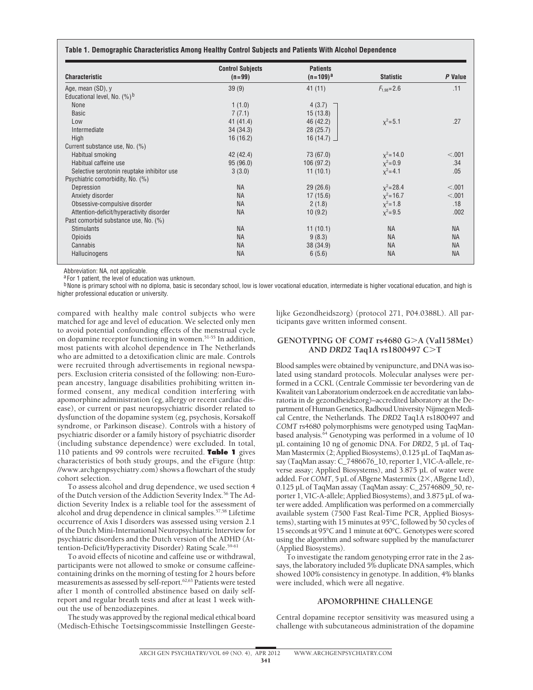| <b>Characteristic</b>                      | <b>Control Subjects</b><br>$(n=99)$ | <b>Patients</b><br>$(n=109)^{a}$ | <b>Statistic</b> | P Value   |
|--------------------------------------------|-------------------------------------|----------------------------------|------------------|-----------|
| Age, mean (SD), y                          | 39(9)                               | 41(11)                           | $F_{1.98} = 2.6$ | .11       |
| Educational level, No. $(\%)^b$            |                                     |                                  |                  |           |
| None                                       | 1(1.0)                              | 4(3.7)                           |                  |           |
| <b>Basic</b>                               | 7(7.1)                              | 15(13.8)                         |                  |           |
| Low                                        | 41(41.4)                            | 46 (42.2)                        | $x^2 = 5.1$      | .27       |
| Intermediate                               | 34(34.3)                            | 28(25.7)                         |                  |           |
| High                                       | 16(16.2)                            | 16(14.7)                         |                  |           |
| Current substance use, No. (%)             |                                     |                                  |                  |           |
| Habitual smoking                           | 42 (42.4)                           | 73 (67.0)                        | $x^2$ =14.0      | < .001    |
| Habitual caffeine use                      | 95 (96.0)                           | 106(97.2)                        | $x^2 = 0.9$      | .34       |
| Selective serotonin reuptake inhibitor use | 3(3.0)                              | 11(10.1)                         | $x^2 = 4.1$      | .05       |
| Psychiatric comorbidity, No. (%)           |                                     |                                  |                  |           |
| Depression                                 | <b>NA</b>                           | 29(26.6)                         | $x^2 = 28.4$     | < .001    |
| Anxiety disorder                           | <b>NA</b>                           | 17(15.6)                         | $x^2 = 16.7$     | < .001    |
| Obsessive-compulsive disorder              | <b>NA</b>                           | 2(1.8)                           | $x^2 = 1.8$      | .18       |
| Attention-deficit/hyperactivity disorder   | <b>NA</b>                           | 10(9.2)                          | $x^2 = 9.5$      | .002      |
| Past comorbid substance use, No. (%)       |                                     |                                  |                  |           |
| <b>Stimulants</b>                          | <b>NA</b>                           | 11(10.1)                         | <b>NA</b>        | <b>NA</b> |
| Opioids                                    | <b>NA</b>                           | 9(8.3)                           | <b>NA</b>        | <b>NA</b> |
| Cannabis                                   | <b>NA</b>                           | 38 (34.9)                        | <b>NA</b>        | <b>NA</b> |
| Hallucinogens                              | <b>NA</b>                           | 6(5.6)                           | <b>NA</b>        | <b>NA</b> |

Abbreviation: NA, not applicable.

a For 1 patient, the level of education was unknown.

 $b$ None is primary school with no diploma, basic is secondary school, low is lower vocational education, intermediate is higher vocational education, and high is higher professional education or university.

compared with healthy male control subjects who were matched for age and level of education. We selected only men to avoid potential confounding effects of the menstrual cycle on dopamine receptor functioning in women.51-55 In addition, most patients with alcohol dependence in The Netherlands who are admitted to a detoxification clinic are male. Controls were recruited through advertisements in regional newspapers. Exclusion criteria consisted of the following: non-European ancestry, language disabilities prohibiting written informed consent, any medical condition interfering with apomorphine administration (eg, allergy or recent cardiac disease), or current or past neuropsychiatric disorder related to dysfunction of the dopamine system (eg, psychosis, Korsakoff syndrome, or Parkinson disease). Controls with a history of psychiatric disorder or a family history of psychiatric disorder (including substance dependence) were excluded. In total, 110 patients and 99 controls were recruited. **Table 1** gives characteristics of both study groups, and the eFigure (http: //www.archgenpsychiatry.com) shows a flowchart of the study cohort selection.

To assess alcohol and drug dependence, we used section 4 of the Dutch version of the Addiction Severity Index.<sup>56</sup> The Addiction Severity Index is a reliable tool for the assessment of alcohol and drug dependence in clinical samples.<sup>57,58</sup> Lifetime occurrence of Axis I disorders was assessed using version 2.1 of the Dutch Mini-International Neuropsychiatric Interview for psychiatric disorders and the Dutch version of the ADHD (Attention-Deficit/Hyperactivity Disorder) Rating Scale.<sup>59-61</sup>

To avoid effects of nicotine and caffeine use or withdrawal, participants were not allowed to smoke or consume caffeinecontaining drinks on the morning of testing for 2 hours before measurements as assessed by self-report.62,63 Patients were tested after 1 month of controlled abstinence based on daily selfreport and regular breath tests and after at least 1 week without the use of benzodiazepines.

The study was approved by the regional medical ethical board (Medisch-Ethische Toetsingscommissie Instellingen Geestelijke Gezondheidszorg) (protocol 271, P04.0388L). All participants gave written informed consent.

## **GENOTYPING OF** *COMT* **rs4680 GA (Val158Met) AND** *DRD2* **Taq1A rs1800497 CT**

Blood samples were obtained by venipuncture, and DNA was isolated using standard protocols. Molecular analyses were performed in a CCKL (Centrale Commissie ter bevordering van de Kwaliteit van Laboratorium onderzoek en de accreditatie van laboratoria in de gezondheidszorg)–accredited laboratory at the Department of Human Genetics, Radboud University Nijmegen Medical Centre, the Netherlands. The *DRD2* Taq1A rs1800497 and *COMT* rs4680 polymorphisms were genotyped using TaqManbased analysis. $^{\tilde{6}4}$  Genotyping was performed in a volume of 10 µL containing 10 ng of genomic DNA. For *DRD2*, 5 µL of Taq-Man Mastermix (2; Applied Biosystems), 0.125 µL of TaqMan assay (TaqMan assay: C\_7486676\_10, reporter 1, VIC-A-allele, reverse assay; Applied Biosystems), and 3.875 µL of water were added. For *COMT*, 5 µL of ABgene Mastermix (2×, ABgene Ltd), 0.125 µL of TaqMan assay (TaqMan assay: C\_25746809\_50, reporter 1, VIC-A-allele; Applied Biosystems), and 3.875 µL of water were added. Amplification was performed on a commercially available system (7500 Fast Real-Time PCR, Applied Biosystems), starting with 15 minutes at 95°C, followed by 50 cycles of 15 seconds at 95°C and 1 minute at 60°C. Genotypes were scored using the algorithm and software supplied by the manufacturer (Applied Biosystems).

To investigate the random genotyping error rate in the 2 assays, the laboratory included 5% duplicate DNA samples, which showed 100% consistency in genotype. In addition, 4% blanks were included, which were all negative.

#### **APOMORPHINE CHALLENGE**

Central dopamine receptor sensitivity was measured using a challenge with subcutaneous administration of the dopamine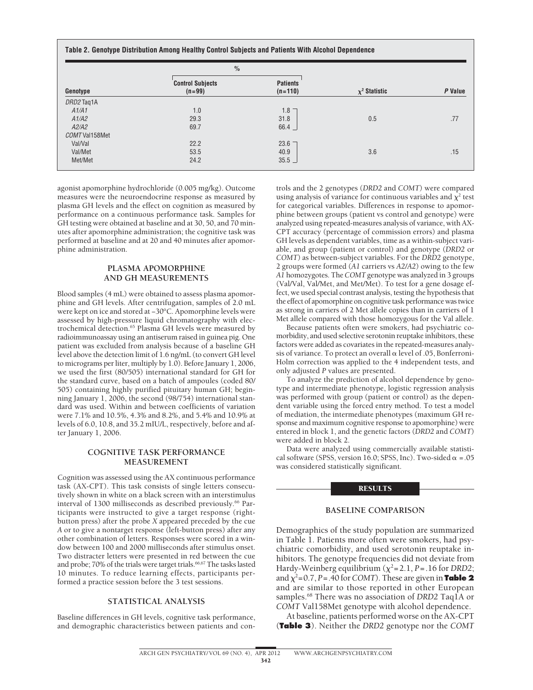| Table 2. Genotype Distribution Among Healthy Control Subjects and Patients With Alcohol Dependence |  |  |
|----------------------------------------------------------------------------------------------------|--|--|
|----------------------------------------------------------------------------------------------------|--|--|

|                | $\%$                                  |                                 |                    | P Value |
|----------------|---------------------------------------|---------------------------------|--------------------|---------|
| Genotype       | <b>Control Subjects</b><br>$(n = 99)$ | <b>Patients</b><br>$(n=110)$    | $\chi^2$ Statistic |         |
| DRD2 Tag1A     |                                       |                                 |                    |         |
| A1/A1          | 1.0                                   | 1.8<br>$\overline{\phantom{0}}$ |                    |         |
| A1/A2          | 29.3                                  | 31.8                            | 0.5                | .77     |
| A2/A2          | 69.7                                  | $66.4$ $\Box$                   |                    |         |
| COMT Val158Met |                                       |                                 |                    |         |
| Val/Val        | 22.2                                  | $23.6$ $\Box$                   |                    |         |
| Val/Met        | 53.5                                  | 40.9                            | 3.6                | .15     |
| Met/Met        | 24.2                                  | $35.5$ $\Box$                   |                    |         |

agonist apomorphine hydrochloride (0.005 mg/kg). Outcome measures were the neuroendocrine response as measured by plasma GH levels and the effect on cognition as measured by performance on a continuous performance task. Samples for GH testing were obtained at baseline and at 30, 50, and 70 minutes after apomorphine administration; the cognitive task was performed at baseline and at 20 and 40 minutes after apomorphine administration.

## **PLASMA APOMORPHINE AND GH MEASUREMENTS**

Blood samples (4 mL) were obtained to assess plasma apomorphine and GH levels. After centrifugation, samples of 2.0 mL were kept on ice and stored at −30°C. Apomorphine levels were assessed by high-pressure liquid chromatography with electrochemical detection.<sup>65</sup> Plasma GH levels were measured by radioimmunoassay using an antiserum raised in guinea pig. One patient was excluded from analysis because of a baseline GH level above the detection limit of 1.6 ng/mL (to convert GH level to micrograms per liter, multiply by 1.0). Before January 1, 2006, we used the first (80/505) international standard for GH for the standard curve, based on a batch of ampoules (coded 80/ 505) containing highly purified pituitary human GH; beginning January 1, 2006, the second (98/754) international standard was used. Within and between coefficients of variation were 7.1% and 10.5%, 4.3% and 8.2%, and 5.4% and 10.9% at levels of 6.0, 10.8, and 35.2 mIU/L, respectively, before and after January 1, 2006.

#### **COGNITIVE TASK PERFORMANCE MEASUREMENT**

Cognition was assessed using the AX continuous performance task (AX-CPT). This task consists of single letters consecutively shown in white on a black screen with an interstimulus interval of 1300 milliseconds as described previously.<sup>66</sup> Participants were instructed to give a target response (rightbutton press) after the probe *X* appeared preceded by the cue *A* or to give a nontarget response (left-button press) after any other combination of letters. Responses were scored in a window between 100 and 2000 milliseconds after stimulus onset. Two distracter letters were presented in red between the cue and probe; 70% of the trials were target trials.<sup>66,67</sup> The tasks lasted 10 minutes. To reduce learning effects, participants performed a practice session before the 3 test sessions.

#### **STATISTICAL ANALYSIS**

Baseline differences in GH levels, cognitive task performance, and demographic characteristics between patients and con-

trols and the 2 genotypes (*DRD2* and *COMT*) were compared using analysis of variance for continuous variables and  $\chi^2$  test for categorical variables. Differences in response to apomorphine between groups (patient vs control and genotype) were analyzed using repeated-measures analysis of variance, with AX-CPT accuracy (percentage of commission errors) and plasma GH levels as dependent variables, time as a within-subject variable, and group (patient or control) and genotype (*DRD2* or *COMT*) as between-subject variables. For the *DRD2* genotype, 2 groups were formed (*A1* carriers vs *A2/A2*) owing to the few *A1* homozygotes. The *COMT* genotype was analyzed in 3 groups (Val/Val, Val/Met, and Met/Met). To test for a gene dosage effect, we used special contrast analysis, testing the hypothesis that the effect of apomorphine on cognitive task performance was twice as strong in carriers of 2 Met allele copies than in carriers of 1 Met allele compared with those homozygous for the Val allele.

Because patients often were smokers, had psychiatric comorbidity, and used selective serotonin reuptake inhibitors, these factors were added as covariates in the repeated-measures analysis of variance. To protect an overall  $\alpha$  level of .05, Bonferroni-Holm correction was applied to the 4 independent tests, and only adjusted *P* values are presented.

To analyze the prediction of alcohol dependence by genotype and intermediate phenotype, logistic regression analysis was performed with group (patient or control) as the dependent variable using the forced entry method. To test a model of mediation, the intermediate phenotypes (maximum GH response and maximum cognitive response to apomorphine) were entered in block 1, and the genetic factors (*DRD2* and *COMT*) were added in block 2.

Data were analyzed using commercially available statistical software (SPSS, version 16.0; SPSS, Inc). Two-sided  $\alpha = .05$ was considered statistically significant.

#### **RESULTS**

#### **BASELINE COMPARISON**

Demographics of the study population are summarized in Table 1. Patients more often were smokers, had psychiatric comorbidity, and used serotonin reuptake inhibitors. The genotype frequencies did not deviate from Hardy-Weinberg equilibrium  $(\chi^2 = 2.1, P = .16$  for *DRD2*; and  $\chi^2$ =0.7, *P* = .40 for *COMT*). These are given in **Table 2** and are similar to those reported in other European samples.68 There was no association of *DRD2* Taq1A or *COMT* Val158Met genotype with alcohol dependence.

At baseline, patients performed worse on the AX-CPT (**Table 3**). Neither the *DRD2* genotype nor the *COMT*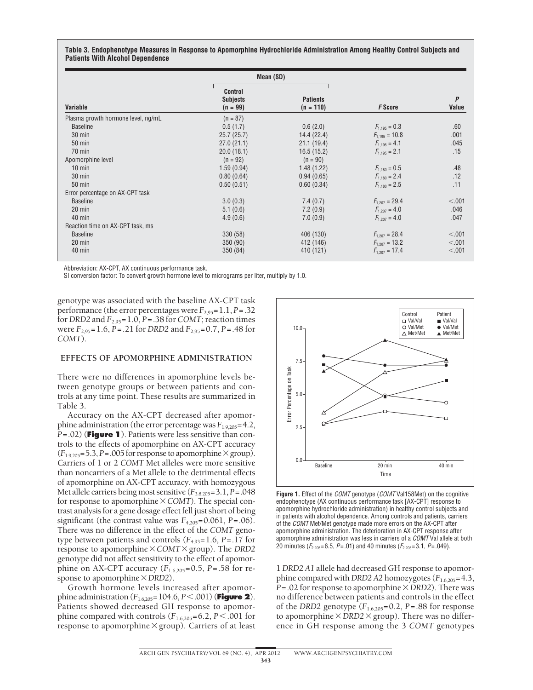**Table 3. Endophenotype Measures in Response to Apomorphine Hydrochloride Administration Among Healthy Control Subjects and Patients With Alcohol Dependence**

|                                    | Mean (SD)                                       |                                |                    | $\boldsymbol{P}$<br>Value |
|------------------------------------|-------------------------------------------------|--------------------------------|--------------------|---------------------------|
| Variable                           | <b>Control</b><br><b>Subjects</b><br>$(n = 99)$ | <b>Patients</b><br>$(n = 110)$ | <b>F</b> Score     |                           |
| Plasma growth hormone level, ng/mL | $(n = 87)$                                      |                                |                    |                           |
| <b>Baseline</b>                    | 0.5(1.7)                                        | 0.6(2.0)                       | $F_{1.195} = 0.3$  | .60                       |
| $30$ min                           | 25.7(25.7)                                      | 14.4(22.4)                     | $F_{1.195} = 10.8$ | .001                      |
| <b>50 min</b>                      | 27.0(21.1)                                      | 21.1(19.4)                     | $F_{1.195} = 4.1$  | .045                      |
| $70$ min                           | 20.0(18.1)                                      | 16.5(15.2)                     | $F_{1.195} = 2.1$  | .15                       |
| Apomorphine level                  | $(n = 92)$                                      | $(n = 90)$                     |                    |                           |
| $10$ min                           | 1.59(0.94)                                      | 1.48(1.22)                     | $F_{1.180} = 0.5$  | .48                       |
| $30$ min                           | 0.80(0.64)                                      | 0.94(0.65)                     | $F_{1.180} = 2.4$  | .12                       |
| <b>50 min</b>                      | 0.50(0.51)                                      | 0.60(0.34)                     | $F_{1.180} = 2.5$  | .11                       |
| Error percentage on AX-CPT task    |                                                 |                                |                    |                           |
| <b>Baseline</b>                    | 3.0(0.3)                                        | 7.4(0.7)                       | $F_{1,207} = 29.4$ | < .001                    |
| $20 \text{ min}$                   | 5.1(0.6)                                        | 7.2(0.9)                       | $F_{1,207} = 4.0$  | .046                      |
| 40 min                             | 4.9(0.6)                                        | 7.0(0.9)                       | $F_{1.207} = 4.0$  | .047                      |
| Reaction time on AX-CPT task, ms   |                                                 |                                |                    |                           |
| <b>Baseline</b>                    | 330 (58)                                        | 406 (130)                      | $F_{1,207}$ = 28.4 | < .001                    |
| $20 \text{ min}$                   | 350 (90)                                        | 412 (146)                      | $F_{1,207} = 13.2$ | < .001                    |
| $40$ min                           | 350 (84)                                        | 410 (121)                      | $F_{1,207} = 17.4$ | < 0.01                    |

Abbreviation: AX-CPT, AX continuous performance task.

SI conversion factor: To convert growth hormone level to micrograms per liter, multiply by 1.0.

genotype was associated with the baseline AX-CPT task performance (the error percentages were  $F_{2,95}$ =1.1, *P* = .32 for *DRD2* and  $F_{2,95}$ =1.0, *P* = .38 for *COMT*; reaction times were *F*2,95=1.6, *P*=.21 for *DRD2* and *F*2,95=0.7, *P*=.48 for *COMT*).

## **EFFECTS OF APOMORPHINE ADMINISTRATION**

There were no differences in apomorphine levels between genotype groups or between patients and controls at any time point. These results are summarized in Table 3.

Accuracy on the AX-CPT decreased after apomorphine administration (the error percentage was  $F_{1.9,205}$ =4.2, *P*=.02) (**Figure 1**). Patients were less sensitive than controls to the effects of apomorphine on AX-CPT accuracy  $(F_{1.9,205} = 5.3, P = .005$  for response to apomorphine  $\times$  group). Carriers of 1 or 2 *COMT* Met alleles were more sensitive than noncarriers of a Met allele to the detrimental effects of apomorphine on AX-CPT accuracy, with homozygous Met allele carriers being most sensitive (*F*3.8,205=3.1, *P*=.048 for response to apomorphine  $\times$  *COMT*). The special contrast analysis for a gene dosage effect fell just short of being significant (the contrast value was  $F_{4,205}$ =0.061, *P*=.06). There was no difference in the effect of the *COMT* genotype between patients and controls  $(F_{4.93}=1.6, P=.17$  for response to apomorphine  $\times$  *COMT* $\times$  group). The *DRD2* genotype did not affect sensitivity to the effect of apomorphine on AX-CPT accuracy  $(F_{1.6,205} = 0.5, P = .58$  for response to apomorphine  $\times$  *DRD2*).

Growth hormone levels increased after apomorphine administration  $(F_{1.6,205} = 104.6, P < .001)$  (**Figure 2**). Patients showed decreased GH response to apomorphine compared with controls  $(F_{1.6,205} = 6.2, P < .001$  for response to apomorphine  $\times$  group). Carriers of at least



**Figure 1.** Effect of the *COMT* genotype (*COMT* Val158Met) on the cognitive endophenotype (AX continuous performance task [AX-CPT] response to apomorphine hydrochloride administration) in healthy control subjects and in patients with alcohol dependence. Among controls and patients, carriers of the *COMT* Met/Met genotype made more errors on the AX-CPT after apomorphine administration. The deterioration in AX-CPT response after apomorphine administration was less in carriers of a *COMT* Val allele at both 20 minutes (*F*2,205=6.5, *P*=.01) and 40 minutes (*F*2,205=3.1, *P*=.049).

1 *DRD2 A1* allele had decreased GH response to apomorphine compared with*DRD2 A2* homozygotes (*F*1.6,205=4.3, *P* = .02 for response to apomorphine  $\times$  *DRD2*). There was no difference between patients and controls in the effect of the *DRD2* genotype (*F*1.6,205=0.2, *P*=.88 for response to apomorphine  $\times$  *DRD2*  $\times$  group). There was no difference in GH response among the 3 *COMT* genotypes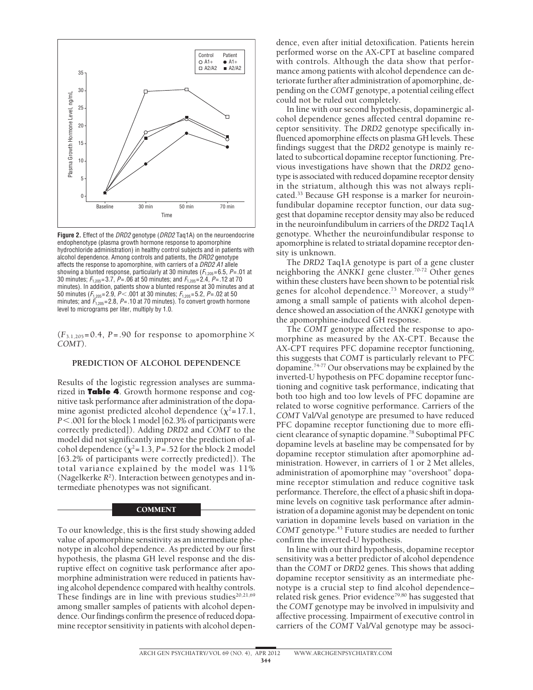

**Figure 2.** Effect of the *DRD2* genotype (*DRD2* Taq1A) on the neuroendocrine endophenotype (plasma growth hormone response to apomorphine hydrochloride administration) in healthy control subjects and in patients with alcohol dependence. Among controls and patients, the *DRD2* genotype affects the response to apomorphine, with carriers of a *DRD2 A1* allele showing a blunted response, particularly at 30 minutes (*F*1,205=6.5, *P*=.01 at 30 minutes; *F*1,205=3.7, *P*=.06 at 50 minutes; and *F*1,205=2.4, *P*=.12 at 70 minutes). In addition, patients show a blunted response at 30 minutes and at 50 minutes (*F*1,205=2.9, *P*.001 at 30 minutes; *F*1,205=5.2, *P*=.02 at 50 minutes; and *F*1,205=2.8, *P*=.10 at 70 minutes). To convert growth hormone level to micrograms per liter, multiply by 1.0.

 $(F_{3.1,205} = 0.4, P = .90$  for response to apomorphine  $\times$ *COMT*).

### **PREDICTION OF ALCOHOL DEPENDENCE**

Results of the logistic regression analyses are summarized in **Table 4**. Growth hormone response and cognitive task performance after administration of the dopamine agonist predicted alcohol dependence  $(\chi^2=17.1,$ *P*.001 for the block 1 model [62.3% of participants were correctly predicted]). Adding *DRD2* and *COMT* to the model did not significantly improve the prediction of alcohol dependence  $(\chi^2=1.3, P=.52$  for the block 2 model [63.2% of participants were correctly predicted]). The total variance explained by the model was 11% (Nagelkerke *R*<sup>2</sup> ). Interaction between genotypes and intermediate phenotypes was not significant.

#### **COMMENT**

To our knowledge, this is the first study showing added value of apomorphine sensitivity as an intermediate phenotype in alcohol dependence. As predicted by our first hypothesis, the plasma GH level response and the disruptive effect on cognitive task performance after apomorphine administration were reduced in patients having alcohol dependence compared with healthy controls. These findings are in line with previous studies $20,21,69$ among smaller samples of patients with alcohol dependence. Our findings confirm the presence of reduced dopamine receptor sensitivity in patients with alcohol dependence, even after initial detoxification. Patients herein performed worse on the AX-CPT at baseline compared with controls. Although the data show that performance among patients with alcohol dependence can deteriorate further after administration of apomorphine, depending on the *COMT* genotype, a potential ceiling effect could not be ruled out completely.

In line with our second hypothesis, dopaminergic alcohol dependence genes affected central dopamine receptor sensitivity. The *DRD2* genotype specifically influenced apomorphine effects on plasma GH levels. These findings suggest that the *DRD2* genotype is mainly related to subcortical dopamine receptor functioning. Previous investigations have shown that the *DRD2* genotype is associated with reduced dopamine receptor density in the striatum, although this was not always replicated.<sup>33</sup> Because GH response is a marker for neuroinfundibular dopamine receptor function, our data suggest that dopamine receptor density may also be reduced in the neuroinfundibulum in carriers of the *DRD2* Taq1A genotype. Whether the neuroinfundibular response to apomorphine is related to striatal dopamine receptor density is unknown.

The *DRD2* Taq1A genotype is part of a gene cluster neighboring the *ANKK1* gene cluster.70-72 Other genes within these clusters have been shown to be potential risk genes for alcohol dependence.<sup>73</sup> Moreover, a study<sup>19</sup> among a small sample of patients with alcohol dependence showed an association of the *ANKK1* genotype with the apomorphine-induced GH response.

The *COMT* genotype affected the response to apomorphine as measured by the AX-CPT. Because the AX-CPT requires PFC dopamine receptor functioning, this suggests that *COMT* is particularly relevant to PFC dopamine.<sup>74-77</sup> Our observations may be explained by the inverted-U hypothesis on PFC dopamine receptor functioning and cognitive task performance, indicating that both too high and too low levels of PFC dopamine are related to worse cognitive performance. Carriers of the *COMT* Val/Val genotype are presumed to have reduced PFC dopamine receptor functioning due to more efficient clearance of synaptic dopamine.78 Suboptimal PFC dopamine levels at baseline may be compensated for by dopamine receptor stimulation after apomorphine administration. However, in carriers of 1 or 2 Met alleles, administration of apomorphine may "overshoot" dopamine receptor stimulation and reduce cognitive task performance. Therefore, the effect of a phasic shift in dopamine levels on cognitive task performance after administration of a dopamine agonist may be dependent on tonic variation in dopamine levels based on variation in the *COMT* genotype.43 Future studies are needed to further confirm the inverted-U hypothesis.

In line with our third hypothesis, dopamine receptor sensitivity was a better predictor of alcohol dependence than the *COMT* or *DRD2* genes. This shows that adding dopamine receptor sensitivity as an intermediate phenotype is a crucial step to find alcohol dependence– related risk genes. Prior evidence<sup>79,80</sup> has suggested that the *COMT* genotype may be involved in impulsivity and affective processing. Impairment of executive control in carriers of the *COMT* Val/Val genotype may be associ-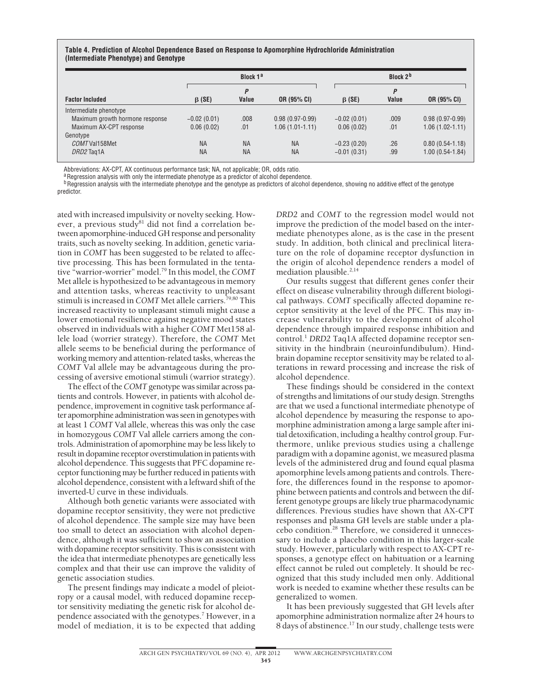**Table 4. Prediction of Alcohol Dependence Based on Response to Apomorphine Hydrochloride Administration (Intermediate Phenotype) and Genotype**

|                                 | Block 1 <sup>a</sup> |           |                   | Block 2 <sup>b</sup> |       |                   |
|---------------------------------|----------------------|-----------|-------------------|----------------------|-------|-------------------|
|                                 |                      | P         |                   |                      | P     |                   |
| <b>Factor Included</b>          | $\beta$ (SE)         | Value     | OR (95% CI)       | $\beta$ (SE)         | Value | OR (95% CI)       |
| Intermediate phenotype          |                      |           |                   |                      |       |                   |
| Maximum growth hormone response | $-0.02(0.01)$        | .008      | $0.98(0.97-0.99)$ | $-0.02(0.01)$        | .009  | $0.98(0.97-0.99)$ |
| Maximum AX-CPT response         | 0.06(0.02)           | .01       | $1.06(1.01-1.11)$ | 0.06(0.02)           | .01   | $1.06(1.02-1.11)$ |
| Genotype                        |                      |           |                   |                      |       |                   |
| COMT Val158Met                  | <b>NA</b>            | <b>NA</b> | <b>NA</b>         | $-0.23(0.20)$        | .26   | $0.80(0.54-1.18)$ |
| DRD2 Tag1A                      | <b>NA</b>            | <b>NA</b> | <b>NA</b>         | $-0.01(0.31)$        | .99   | $1.00(0.54-1.84)$ |

Abbreviations: AX-CPT, AX continuous performance task; NA, not applicable; OR, odds ratio.

aRegression analysis with only the intermediate phenotype as a predictor of alcohol dependence.

<sup>b</sup>Regression analysis with the intermediate phenotype and the genotype as predictors of alcohol dependence, showing no additive effect of the genotype predictor.

ated with increased impulsivity or novelty seeking. However, a previous study $81$  did not find a correlation between apomorphine-induced GH response and personality traits, such as novelty seeking. In addition, genetic variation in *COMT* has been suggested to be related to affective processing. This has been formulated in the tentative "warrior-worrier" model.79 In this model, the *COMT* Met allele is hypothesized to be advantageous in memory and attention tasks, whereas reactivity to unpleasant stimuli is increased in *COMT* Met allele carriers.<sup>79,80</sup> This increased reactivity to unpleasant stimuli might cause a lower emotional resilience against negative mood states observed in individuals with a higher *COMT* Met158 allele load (worrier strategy). Therefore, the *COMT* Met allele seems to be beneficial during the performance of working memory and attention-related tasks, whereas the *COMT* Val allele may be advantageous during the processing of aversive emotional stimuli (warrior strategy).

The effect of the *COMT* genotype was similar across patients and controls. However, in patients with alcohol dependence, improvement in cognitive task performance after apomorphine administration was seen in genotypes with at least 1 *COMT* Val allele, whereas this was only the case in homozygous *COMT* Val allele carriers among the controls. Administration of apomorphine may be less likely to result in dopamine receptor overstimulation in patients with alcohol dependence. This suggests that PFC dopamine receptor functioning may be further reduced in patients with alcohol dependence, consistent with a leftward shift of the inverted-U curve in these individuals.

Although both genetic variants were associated with dopamine receptor sensitivity, they were not predictive of alcohol dependence. The sample size may have been too small to detect an association with alcohol dependence, although it was sufficient to show an association with dopamine receptor sensitivity. This is consistent with the idea that intermediate phenotypes are genetically less complex and that their use can improve the validity of genetic association studies.

The present findings may indicate a model of pleiotropy or a causal model, with reduced dopamine receptor sensitivity mediating the genetic risk for alcohol dependence associated with the genotypes.7 However, in a model of mediation, it is to be expected that adding *DRD2* and *COMT* to the regression model would not improve the prediction of the model based on the intermediate phenotypes alone, as is the case in the present study. In addition, both clinical and preclinical literature on the role of dopamine receptor dysfunction in the origin of alcohol dependence renders a model of mediation plausible.<sup>2,14</sup>

Our results suggest that different genes confer their effect on disease vulnerability through different biological pathways. *COMT* specifically affected dopamine receptor sensitivity at the level of the PFC. This may increase vulnerability to the development of alcohol dependence through impaired response inhibition and control.<sup>1</sup> DRD2 Taq1A affected dopamine receptor sensitivity in the hindbrain (neuroinfundibulum). Hindbrain dopamine receptor sensitivity may be related to alterations in reward processing and increase the risk of alcohol dependence.

These findings should be considered in the context of strengths and limitations of our study design. Strengths are that we used a functional intermediate phenotype of alcohol dependence by measuring the response to apomorphine administration among a large sample after initial detoxification, including a healthy control group. Furthermore, unlike previous studies using a challenge paradigm with a dopamine agonist, we measured plasma levels of the administered drug and found equal plasma apomorphine levels among patients and controls. Therefore, the differences found in the response to apomorphine between patients and controls and between the different genotype groups are likely true pharmacodynamic differences. Previous studies have shown that AX-CPT responses and plasma GH levels are stable under a placebo condition.28 Therefore, we considered it unnecessary to include a placebo condition in this larger-scale study. However, particularly with respect to AX-CPT responses, a genotype effect on habituation or a learning effect cannot be ruled out completely. It should be recognized that this study included men only. Additional work is needed to examine whether these results can be generalized to women.

It has been previously suggested that GH levels after apomorphine administration normalize after 24 hours to 8 days of abstinence.<sup>17</sup> In our study, challenge tests were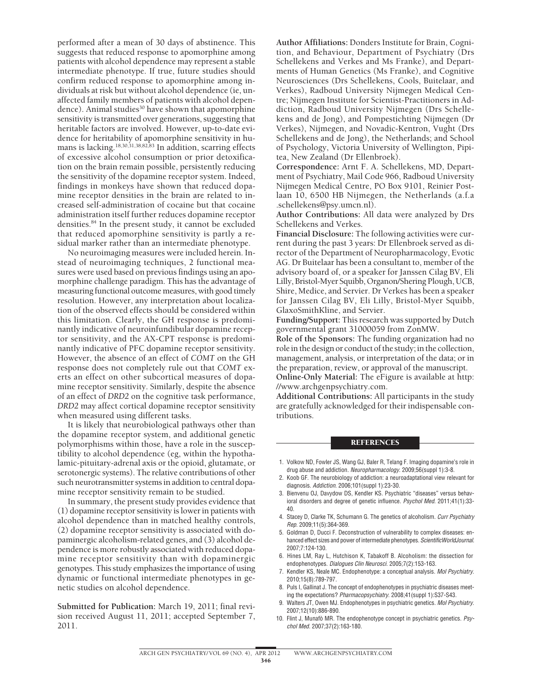performed after a mean of 30 days of abstinence. This suggests that reduced response to apomorphine among patients with alcohol dependence may represent a stable intermediate phenotype. If true, future studies should confirm reduced response to apomorphine among individuals at risk but without alcohol dependence (ie, unaffected family members of patients with alcohol dependence). Animal studies<sup>30</sup> have shown that apomorphine sensitivity is transmitted over generations, suggesting that heritable factors are involved. However, up-to-date evidence for heritability of apomorphine sensitivity in humans is lacking.18,30,31,38,82,83 In addition, scarring effects of excessive alcohol consumption or prior detoxification on the brain remain possible, persistently reducing the sensitivity of the dopamine receptor system. Indeed, findings in monkeys have shown that reduced dopamine receptor densities in the brain are related to increased self-administration of cocaine but that cocaine administration itself further reduces dopamine receptor densities.84 In the present study, it cannot be excluded that reduced apomorphine sensitivity is partly a residual marker rather than an intermediate phenotype.

No neuroimaging measures were included herein. Instead of neuroimaging techniques, 2 functional measures were used based on previous findings using an apomorphine challenge paradigm. This has the advantage of measuring functional outcome measures, with good timely resolution. However, any interpretation about localization of the observed effects should be considered within this limitation. Clearly, the GH response is predominantly indicative of neuroinfundibular dopamine receptor sensitivity, and the AX-CPT response is predominantly indicative of PFC dopamine receptor sensitivity. However, the absence of an effect of *COMT* on the GH response does not completely rule out that *COMT* exerts an effect on other subcortical measures of dopamine receptor sensitivity. Similarly, despite the absence of an effect of *DRD2* on the cognitive task performance, *DRD2* may affect cortical dopamine receptor sensitivity when measured using different tasks.

It is likely that neurobiological pathways other than the dopamine receptor system, and additional genetic polymorphisms within those, have a role in the susceptibility to alcohol dependence (eg, within the hypothalamic-pituitary-adrenal axis or the opioid, glutamate, or serotonergic systems). The relative contributions of other such neurotransmitter systems in addition to central dopamine receptor sensitivity remain to be studied.

In summary, the present study provides evidence that (1) dopamine receptor sensitivity is lower in patients with alcohol dependence than in matched healthy controls, (2) dopamine receptor sensitivity is associated with dopaminergic alcoholism-related genes, and (3) alcohol dependence is more robustly associated with reduced dopamine receptor sensitivity than with dopaminergic genotypes. This study emphasizes the importance of using dynamic or functional intermediate phenotypes in genetic studies on alcohol dependence.

**Submitted for Publication:** March 19, 2011; final revision received August 11, 2011; accepted September 7, 2011.

**Author Affiliations:** Donders Institute for Brain, Cognition, and Behaviour, Department of Psychiatry (Drs Schellekens and Verkes and Ms Franke), and Departments of Human Genetics (Ms Franke), and Cognitive Neurosciences (Drs Schellekens, Cools, Buitelaar, and Verkes), Radboud University Nijmegen Medical Centre; Nijmegen Institute for Scientist-Practitioners in Addiction, Radboud University Nijmegen (Drs Schellekens and de Jong), and Pompestichting Nijmegen (Dr Verkes), Nijmegen, and Novadic-Kentron, Vught (Drs Schellekens and de Jong), the Netherlands; and School of Psychology, Victoria University of Wellington, Pipitea, New Zealand (Dr Ellenbroek).

**Correspondence:** Arnt F. A. Schellekens, MD, Department of Psychiatry, Mail Code 966, Radboud University Nijmegen Medical Centre, PO Box 9101, Reinier Postlaan 10, 6500 HB Nijmegen, the Netherlands (a.f.a .schellekens@psy.umcn.nl).

**Author Contributions:** All data were analyzed by Drs Schellekens and Verkes.

**Financial Disclosure:** The following activities were current during the past 3 years: Dr Ellenbroek served as director of the Department of Neuropharmacology, Evotic AG. Dr Buitelaar has been a consultant to, member of the advisory board of, or a speaker for Janssen Cilag BV, Eli Lilly, Bristol-Myer Squibb, Organon/Shering Plough, UCB, Shire, Medice, and Servier. Dr Verkes has been a speaker for Janssen Cilag BV, Eli Lilly, Bristol-Myer Squibb, GlaxoSmithKline, and Servier.

**Funding/Support:** This research was supported by Dutch governmental grant 31000059 from ZonMW.

**Role of the Sponsors:** The funding organization had no role in the design or conduct of the study; in the collection, management, analysis, or interpretation of the data; or in the preparation, review, or approval of the manuscript.

**Online-Only Material:** The eFigure is available at http: //www.archgenpsychiatry.com.

**Additional Contributions:** All participants in the study are gratefully acknowledged for their indispensable contributions.

## **REFERENCES**

- 1. Volkow ND, Fowler JS, Wang GJ, Baler R, Telang F. Imaging dopamine's role in drug abuse and addiction. *Neuropharmacology*. 2009;56(suppl 1):3-8.
- 2. Koob GF. The neurobiology of addiction: a neuroadaptational view relevant for diagnosis. *Addiction*. 2006;101(suppl 1):23-30.
- 3. Bienvenu OJ, Davydow DS, Kendler KS. Psychiatric "diseases" versus behavioral disorders and degree of genetic influence. *Psychol Med*. 2011;41(1):33- 40.
- 4. Stacey D, Clarke TK, Schumann G. The genetics of alcoholism. *Curr Psychiatry Rep*. 2009;11(5):364-369.
- 5. Goldman D, Ducci F. Deconstruction of vulnerability to complex diseases: enhanced effect sizes and power of intermediate phenotypes. *ScientificWorldJournal*. 2007;7:124-130.
- 6. Hines LM, Ray L, Hutchison K, Tabakoff B. Alcoholism: the dissection for endophenotypes. *Dialogues Clin Neurosci*. 2005;7(2):153-163.
- 7. Kendler KS, Neale MC. Endophenotype: a conceptual analysis. *Mol Psychiatry*. 2010;15(8):789-797.
- 8. Puls I, Gallinat J. The concept of endophenotypes in psychiatric diseases meeting the expectations? *Pharmacopsychiatry*. 2008;41(suppl 1):S37-S43.
- 9. Walters JT, Owen MJ. Endophenotypes in psychiatric genetics. *Mol Psychiatry*. 2007;12(10):886-890.
- 10. Flint J, Munafò MR. The endophenotype concept in psychiatric genetics. *Psychol Med*. 2007;37(2):163-180.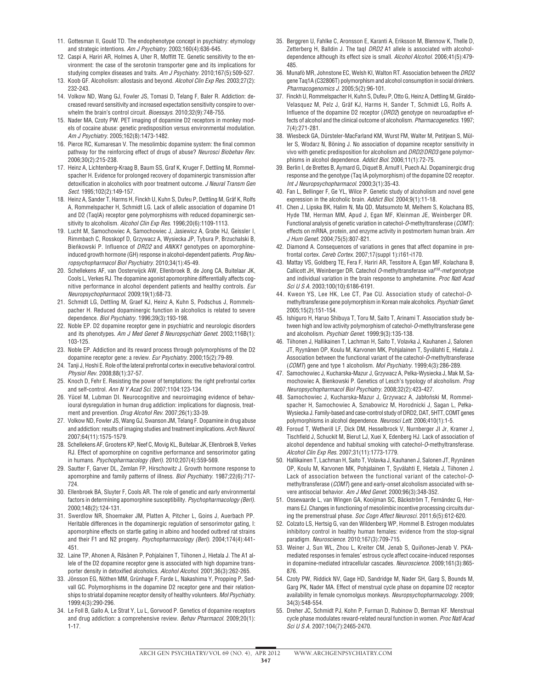- 11. Gottesman II, Gould TD. The endophenotype concept in psychiatry: etymology and strategic intentions. *Am J Psychiatry*. 2003;160(4):636-645.
- 12. Caspi A, Hariri AR, Holmes A, Uher R, Moffitt TE. Genetic sensitivity to the environment: the case of the serotonin transporter gene and its implications for studying complex diseases and traits. *Am J Psychiatry*. 2010;167(5):509-527.
- 13. Koob GF. Alcoholism: allostasis and beyond. *Alcohol Clin Exp Res*. 2003;27(2): 232-243.
- 14. Volkow ND, Wang GJ, Fowler JS, Tomasi D, Telang F, Baler R. Addiction: decreased reward sensitivity and increased expectation sensitivity conspire to overwhelm the brain's control circuit. *Bioessays*. 2010;32(9):748-755.
- 15. Nader MA, Czoty PW. PET imaging of dopamine D2 receptors in monkey models of cocaine abuse: genetic predisposition versus environmental modulation. *Am J Psychiatry*. 2005;162(8):1473-1482.
- 16. Pierce RC, Kumaresan V. The mesolimbic dopamine system: the final common pathway for the reinforcing effect of drugs of abuse? *Neurosci Biobehav Rev*. 2006;30(2):215-238.
- 17. Heinz A, Lichtenberg-Kraag B, Baum SS, Graf K, Kruger F, Dettling M, Rommelspacher H. Evidence for prolonged recovery of dopaminergic transmission after detoxification in alcoholics with poor treatment outcome. *J Neural Transm Gen Sect*. 1995;102(2):149-157.
- 18. Heinz A, Sander T, Harms H, Finckh U, Kuhn S, Dufeu P, Dettling M, Gräf K, Rolfs A, Rommelspacher H, Schmidt LG. Lack of allelic association of dopamine D1 and D2 (TaqIA) receptor gene polymorphisms with reduced dopaminergic sensitivity to alcoholism. *Alcohol Clin Exp Res*. 1996;20(6):1109-1113.
- 19. Lucht M, Samochowiec A, Samochowiec J, Jasiewicz A, Grabe HJ, Geissler I, Rimmbach C, Rosskopf D, Grzywacz A, Wysiecka JP, Tybura P, Brzuchalski B, Bieńkowski P. Influence of *DRD2* and *ANKK1* genotypes on apomorphineinduced growth hormone (GH) response in alcohol-dependent patients. *Prog Neuropsychopharmacol Biol Psychiatry*. 2010;34(1):45-49.
- 20. Schellekens AF, van Oosterwijck AW, Ellenbroek B, de Jong CA, Buitelaar JK, Cools L, Verkes RJ. The dopamine agonist apomorphine differentially affects cognitive performance in alcohol dependent patients and healthy controls. *Eur Neuropsychopharmacol*. 2009;19(1):68-73.
- 21. Schmidt LG, Dettling M, Graef KJ, Heinz A, Kuhn S, Podschus J, Rommelspacher H. Reduced dopaminergic function in alcoholics is related to severe dependence. *Biol Psychiatry*. 1996;39(3):193-198.
- 22. Noble EP. D2 dopamine receptor gene in psychiatric and neurologic disorders and its phenotypes. *Am J Med Genet B Neuropsychiatr Genet*. 2003;116B(1): 103-125.
- 23. Noble EP. Addiction and its reward process through polymorphisms of the D2 dopamine receptor gene: a review. *Eur Psychiatry*. 2000;15(2):79-89.
- 24. Tanji J, Hoshi E. Role of the lateral prefrontal cortex in executive behavioral control. *Physiol Rev*. 2008;88(1):37-57.
- 25. Knoch D, Fehr E. Resisting the power of temptations: the right prefrontal cortex and self-control. *Ann N Y Acad Sci*. 2007;1104:123-134.
- 26. Yücel M, Lubman DI. Neurocognitive and neuroimaging evidence of behavioural dysregulation in human drug addiction: implications for diagnosis, treatment and prevention. *Drug Alcohol Rev*. 2007;26(1):33-39.
- 27. Volkow ND, Fowler JS, Wang GJ, Swanson JM, Telang F. Dopamine in drug abuse and addiction: results of imaging studies and treatment implications. *Arch Neurol*. 2007;64(11):1575-1579.
- 28. Schellekens AF, Grootens KP, Neef C, Movig KL, Buitelaar JK, Ellenbroek B, Verkes RJ. Effect of apomorphine on cognitive performance and sensorimotor gating in humans. *Psychopharmacology (Berl)*. 2010;207(4):559-569.
- 29. Sautter F, Garver DL, Zemlan FP, Hirschowitz J. Growth hormone response to apomorphine and family patterns of illness. *Biol Psychiatry*. 1987;22(6):717- 724.
- 30. Ellenbroek BA, Sluyter F, Cools AR. The role of genetic and early environmental factors in determining apomorphine susceptibility. *Psychopharmacology (Berl)*. 2000;148(2):124-131.
- 31. Swerdlow NR, Shoemaker JM, Platten A, Pitcher L, Goins J, Auerbach PP. Heritable differences in the dopaminergic regulation of sensorimotor gating, I: apomorphine effects on startle gating in albino and hooded outbred rat strains and their F1 and N2 progeny. *Psychopharmacology (Berl)*. 2004;174(4):441- 451.
- 32. Laine TP, Ahonen A, Räsänen P, Pohjalainen T, Tiihonen J, Hietala J. The A1 allele of the D2 dopamine receptor gene is associated with high dopamine transporter density in detoxified alcoholics. *Alcohol Alcohol*. 2001;36(3):262-265.
- 33. Jönsson EG, Nöthen MM, Grünhage F, Farde L, Nakashima Y, Propping P, Sedvall GC. Polymorphisms in the dopamine D2 receptor gene and their relationships to striatal dopamine receptor density of healthy volunteers. *Mol Psychiatry*. 1999;4(3):290-296.
- 34. Le Foll B, Gallo A, Le Strat Y, Lu L, Gorwood P. Genetics of dopamine receptors and drug addiction: a comprehensive review. *Behav Pharmacol*. 2009;20(1): 1-17.
- 35. Berggren U, Fahlke C, Aronsson E, Karanti A, Eriksson M, Blennow K, Thelle D, Zetterberg H, Balldin J. The taqI *DRD2* A1 allele is associated with alcoholdependence although its effect size is small. *Alcohol Alcohol*. 2006;41(5):479- 485.
- 36. Munafò MR, Johnstone EC, Welsh KI, Walton RT. Association between the *DRD2* gene Taq1A (C32806T) polymorphism and alcohol consumption in social drinkers. *Pharmacogenomics J*. 2005;5(2):96-101.
- 37. Finckh U, Rommelspacher H, Kuhn S, Dufeu P, Otto G, Heinz A, Dettling M, Giraldo-Velasquez M, Pelz J, Gräf KJ, Harms H, Sander T, Schmidt LG, Rolfs A, Influence of the dopamine D2 receptor (*DRD2*) genotype on neuroadaptive effects of alcohol and the clinical outcome of alcoholism. *Pharmacogenetics*. 1997; 7(4):271-281.
- 38. Wiesbeck GA, Dürsteler-MacFarland KM, Wurst FM, Walter M, Petitiean S, Müller S, Wodarz N, Böning J. No association of dopamine receptor sensitivity in vivo with genetic predisposition for alcoholism and *DRD2*/*DRD3* gene polymorphisms in alcohol dependence. *Addict Biol*. 2006;11(1):72-75.
- 39. Berlin I, de Brettes B, Aymard G, Diquet B, Arnulf I, Puech AJ. Dopaminergic drug response and the genotype (Taq IA polymorphism) of the dopamine D2 receptor. *Int J Neuropsychopharmacol*. 2000;3(1):35-43.
- 40. Fan L, Bellinger F, Ge YL, Wilce P. Genetic study of alcoholism and novel gene expression in the alcoholic brain. *Addict Biol*. 2004;9(1):11-18.
- 41. Chen J, Lipska BK, Halim N, Ma QD, Matsumoto M, Melhem S, Kolachana BS, Hyde TM, Herman MM, Apud J, Egan MF, Kleinman JE, Weinberger DR. Functional analysis of genetic variation in catechol-*O*-methyltransferase (*COMT*): effects on mRNA, protein, and enzyme activity in postmortem human brain. *Am J Hum Genet*. 2004;75(5):807-821.
- 42. Diamond A. Consequences of variations in genes that affect dopamine in prefrontal cortex. *Cereb Cortex*. 2007;17(suppl 1):i161-i170.
- 43. Mattay VS, Goldberg TE, Fera F, Hariri AR, Tessitore A, Egan MF, Kolachana B, Callicott JH, Weinberger DR. Catechol *O*-methyltransferase *val158-met* genotype and individual variation in the brain response to amphetamine. *Proc Natl Acad Sci U S A*. 2003;100(10):6186-6191.
- 44. Kweon YS, Lee HK, Lee CT, Pae CU. Association study of catechol-*O*methyltransferase gene polymorphism in Korean male alcoholics. *Psychiatr Genet*. 2005;15(2):151-154.
- 45. Ishiguro H, Haruo Shibuya T, Toru M, Saito T, Arinami T. Association study between high and low activity polymorphism of catechol-*O*-methyltransferase gene and alcoholism. *Psychiatr Genet*. 1999;9(3):135-138.
- 46. Tiihonen J, Hallikainen T, Lachman H, Saito T, Volavka J, Kauhanen J, Salonen JT, Ryynänen OP, Koulu M, Karvonen MK, Pohjalainen T, Syvälahti E, Hietala J. Association between the functional variant of the catechol-*O*-methyltransferase (*COMT*) gene and type 1 alcoholism. *Mol Psychiatry*. 1999;4(3):286-289.
- 47. Samochowiec J, Kucharska-Mazur J, Grzywacz A, Pelka-Wysiecka J, Mak M, Samochowiec A, Bienkowski P. Genetics of Lesch's typology of alcoholism. *Prog Neuropsychopharmacol Biol Psychiatry*. 2008;32(2):423-427.
- 48. Samochowiec J, Kucharska-Mazur J, Grzywacz A, Jabłoński M, Rommelspacher H, Samochowiec A, Sznabowicz M, Horodnicki J, Sagan L, Pełka-Wysiecka J. Family-based and case-control study of DRD2, DAT, 5HTT, COMT genes polymorphisms in alcohol dependence. *Neurosci Lett*. 2006;410(1):1-5.
- 49. Foroud T, Wetherill LF, Dick DM, Hesselbrock V, Nurnberger JI Jr, Kramer J, Tischfield J, Schuckit M, Bierut LJ, Xuei X, Edenberg HJ. Lack of association of alcohol dependence and habitual smoking with catechol-*O*-methyltransferase. *Alcohol Clin Exp Res*. 2007;31(11):1773-1779.
- 50. Hallikainen T, Lachman H, Saito T, Volavka J, Kauhanen J, Salonen JT, Ryynänen OP, Koulu M, Karvonen MK, Pohjalainen T, Syvälahti E, Hietala J, Tiihonen J. Lack of association between the functional variant of the catechol-*O*methyltransferase (*COMT*) gene and early-onset alcoholism associated with severe antisocial behavior. *Am J Med Genet*. 2000;96(3):348-352.
- 51. Ossewaarde L, van Wingen GA, Kooijman SC, Bäckström T, Fernández G, Hermans EJ. Changes in functioning of mesolimbic incentive processing circuits during the premenstrual phase. *Soc Cogn Affect Neurosci*. 2011;6(5):612-620.
- 52. Colzato LS, Hertsig G, van den Wildenberg WP, Hommel B. Estrogen modulates inhibitory control in healthy human females: evidence from the stop-signal paradigm. *Neuroscience*. 2010;167(3):709-715.
- 53. Weiner J, Sun WL, Zhou L, Kreiter CM, Jenab S, Quiñones-Jenab V. PKAmediated responses in females' estrous cycle affect cocaine-induced responses in dopamine-mediated intracellular cascades. *Neuroscience*. 2009;161(3):865- 876.
- 54. Czoty PW, Riddick NV, Gage HD, Sandridge M, Nader SH, Garg S, Bounds M, Garg PK, Nader MA. Effect of menstrual cycle phase on dopamine D2 receptor availability in female cynomolgus monkeys. *Neuropsychopharmacology*. 2009; 34(3):548-554.
- 55. Dreher JC, Schmidt PJ, Kohn P, Furman D, Rubinow D, Berman KF. Menstrual cycle phase modulates reward-related neural function in women. *Proc Natl Acad Sci U S A*. 2007;104(7):2465-2470.